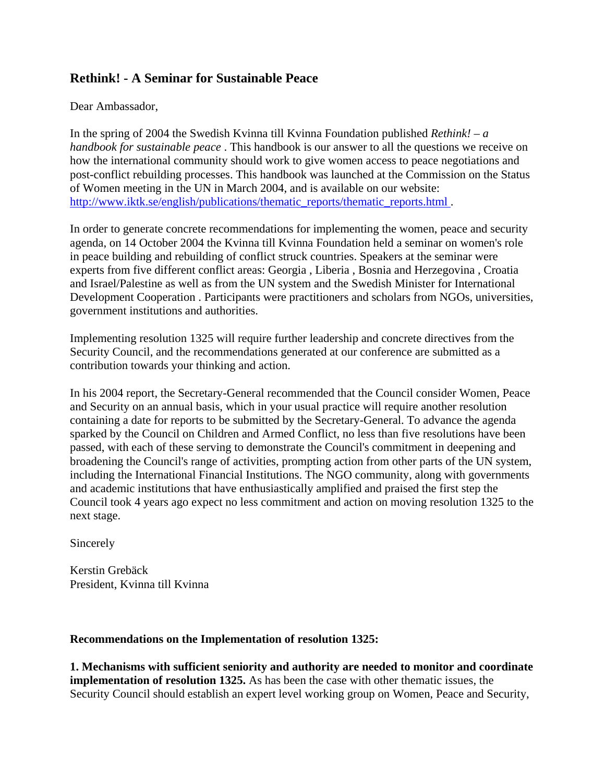## **Rethink! - A Seminar for Sustainable Peace**

Dear Ambassador,

In the spring of 2004 the Swedish Kvinna till Kvinna Foundation published *Rethink! – a handbook for sustainable peace* . This handbook is our answer to all the questions we receive on how the international community should work to give women access to peace negotiations and post-conflict rebuilding processes. This handbook was launched at the Commission on the Status of Women meeting in the UN in March 2004, and is available on our website: http://www.iktk.se/english/publications/thematic\_reports/thematic\_reports.html.

In order to generate concrete recommendations for implementing the women, peace and security agenda, on 14 October 2004 the Kvinna till Kvinna Foundation held a seminar on women's role in peace building and rebuilding of conflict struck countries. Speakers at the seminar were experts from five different conflict areas: Georgia , Liberia , Bosnia and Herzegovina , Croatia and Israel/Palestine as well as from the UN system and the Swedish Minister for International Development Cooperation . Participants were practitioners and scholars from NGOs, universities, government institutions and authorities.

Implementing resolution 1325 will require further leadership and concrete directives from the Security Council, and the recommendations generated at our conference are submitted as a contribution towards your thinking and action.

In his 2004 report, the Secretary-General recommended that the Council consider Women, Peace and Security on an annual basis, which in your usual practice will require another resolution containing a date for reports to be submitted by the Secretary-General. To advance the agenda sparked by the Council on Children and Armed Conflict, no less than five resolutions have been passed, with each of these serving to demonstrate the Council's commitment in deepening and broadening the Council's range of activities, prompting action from other parts of the UN system, including the International Financial Institutions. The NGO community, along with governments and academic institutions that have enthusiastically amplified and praised the first step the Council took 4 years ago expect no less commitment and action on moving resolution 1325 to the next stage.

Sincerely

Kerstin Grebäck President, Kvinna till Kvinna

## **Recommendations on the Implementation of resolution 1325:**

**1. Mechanisms with sufficient seniority and authority are needed to monitor and coordinate implementation of resolution 1325.** As has been the case with other thematic issues, the Security Council should establish an expert level working group on Women, Peace and Security,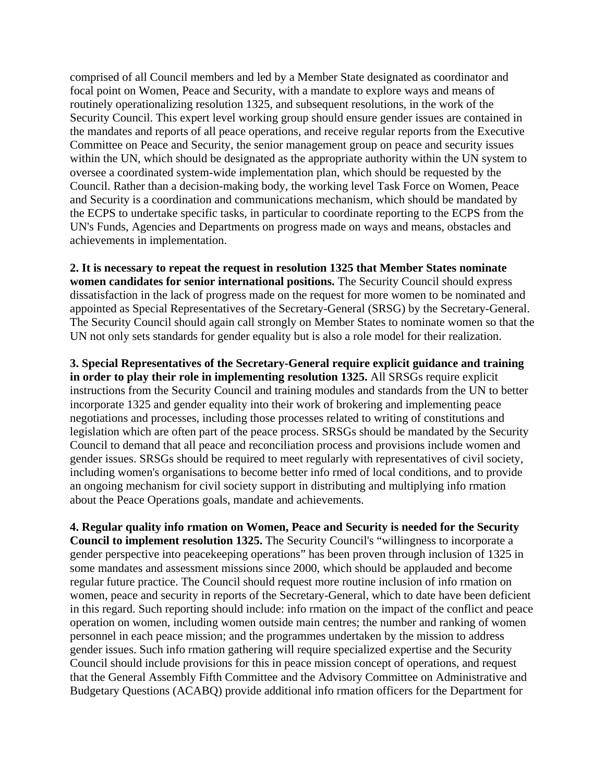comprised of all Council members and led by a Member State designated as coordinator and focal point on Women, Peace and Security, with a mandate to explore ways and means of routinely operationalizing resolution 1325, and subsequent resolutions, in the work of the Security Council. This expert level working group should ensure gender issues are contained in the mandates and reports of all peace operations, and receive regular reports from the Executive Committee on Peace and Security, the senior management group on peace and security issues within the UN, which should be designated as the appropriate authority within the UN system to oversee a coordinated system-wide implementation plan, which should be requested by the Council. Rather than a decision-making body, the working level Task Force on Women, Peace and Security is a coordination and communications mechanism, which should be mandated by the ECPS to undertake specific tasks, in particular to coordinate reporting to the ECPS from the UN's Funds, Agencies and Departments on progress made on ways and means, obstacles and achievements in implementation.

**2. It is necessary to repeat the request in resolution 1325 that Member States nominate women candidates for senior international positions.** The Security Council should express dissatisfaction in the lack of progress made on the request for more women to be nominated and appointed as Special Representatives of the Secretary-General (SRSG) by the Secretary-General. The Security Council should again call strongly on Member States to nominate women so that the UN not only sets standards for gender equality but is also a role model for their realization.

**3. Special Representatives of the Secretary-General require explicit guidance and training in order to play their role in implementing resolution 1325.** All SRSGs require explicit instructions from the Security Council and training modules and standards from the UN to better incorporate 1325 and gender equality into their work of brokering and implementing peace negotiations and processes, including those processes related to writing of constitutions and legislation which are often part of the peace process. SRSGs should be mandated by the Security Council to demand that all peace and reconciliation process and provisions include women and gender issues. SRSGs should be required to meet regularly with representatives of civil society, including women's organisations to become better info rmed of local conditions, and to provide an ongoing mechanism for civil society support in distributing and multiplying info rmation about the Peace Operations goals, mandate and achievements.

**4. Regular quality info rmation on Women, Peace and Security is needed for the Security Council to implement resolution 1325.** The Security Council's "willingness to incorporate a gender perspective into peacekeeping operations" has been proven through inclusion of 1325 in some mandates and assessment missions since 2000, which should be applauded and become regular future practice. The Council should request more routine inclusion of info rmation on women, peace and security in reports of the Secretary-General, which to date have been deficient in this regard. Such reporting should include: info rmation on the impact of the conflict and peace operation on women, including women outside main centres; the number and ranking of women personnel in each peace mission; and the programmes undertaken by the mission to address gender issues. Such info rmation gathering will require specialized expertise and the Security Council should include provisions for this in peace mission concept of operations, and request that the General Assembly Fifth Committee and the Advisory Committee on Administrative and Budgetary Questions (ACABQ) provide additional info rmation officers for the Department for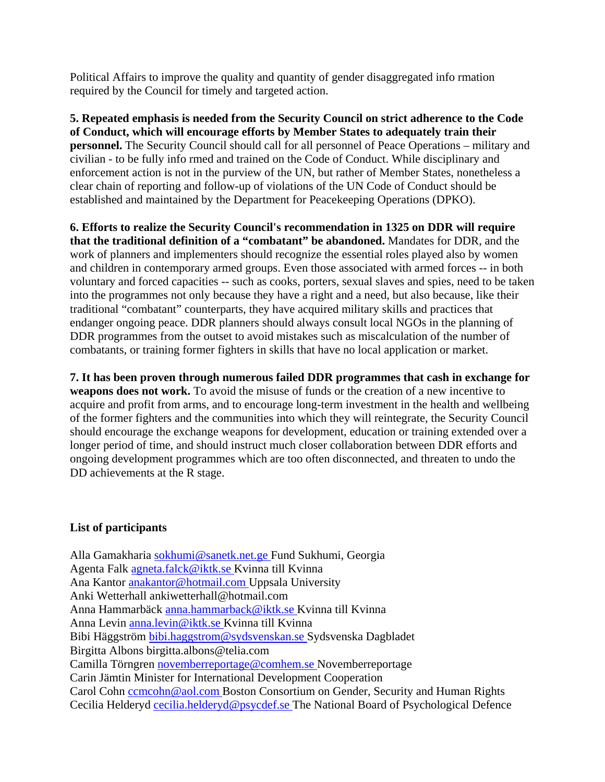Political Affairs to improve the quality and quantity of gender disaggregated info rmation required by the Council for timely and targeted action.

**5. Repeated emphasis is needed from the Security Council on strict adherence to the Code of Conduct, which will encourage efforts by Member States to adequately train their personnel.** The Security Council should call for all personnel of Peace Operations – military and civilian - to be fully info rmed and trained on the Code of Conduct. While disciplinary and enforcement action is not in the purview of the UN, but rather of Member States, nonetheless a clear chain of reporting and follow-up of violations of the UN Code of Conduct should be established and maintained by the Department for Peacekeeping Operations (DPKO).

**6. Efforts to realize the Security Council's recommendation in 1325 on DDR will require that the traditional definition of a "combatant" be abandoned.** Mandates for DDR, and the work of planners and implementers should recognize the essential roles played also by women and children in contemporary armed groups. Even those associated with armed forces -- in both voluntary and forced capacities -- such as cooks, porters, sexual slaves and spies, need to be taken into the programmes not only because they have a right and a need, but also because, like their traditional "combatant" counterparts, they have acquired military skills and practices that endanger ongoing peace. DDR planners should always consult local NGOs in the planning of DDR programmes from the outset to avoid mistakes such as miscalculation of the number of combatants, or training former fighters in skills that have no local application or market.

**7. It has been proven through numerous failed DDR programmes that cash in exchange for weapons does not work.** To avoid the misuse of funds or the creation of a new incentive to acquire and profit from arms, and to encourage long-term investment in the health and wellbeing of the former fighters and the communities into which they will reintegrate, the Security Council should encourage the exchange weapons for development, education or training extended over a longer period of time, and should instruct much closer collaboration between DDR efforts and ongoing development programmes which are too often disconnected, and threaten to undo the DD achievements at the R stage.

## **List of participants**

Alla Gamakharia [sokhumi@sanetk.net.ge](mailto:sokhumi@sanetk.net.ge) Fund Sukhumi, Georgia Agenta Falk [agneta.falck@iktk.se K](mailto:agneta.falck@iktk.se)vinna till Kvinna Ana Kantor [anakantor@hotmail.com U](mailto:anakantor@hotmail.com)ppsala University Anki Wetterhall ankiwetterhall@hotmail.com Anna Hammarbäck [anna.hammarback@iktk.se K](mailto:anna.hammarback@iktk.se)vinna till Kvinna Anna Levin [anna.levin@iktk.se](mailto:anna.levin@iktk.se) Kvinna till Kvinna Bibi Häggström [bibi.haggstrom@sydsvenskan.se S](mailto:bibi.haggstrom@sydsvenskan.se)ydsvenska Dagbladet Birgitta Albons birgitta.albons@telia.com Camilla Törngren [novemberreportage@comhem.se](mailto:novemberreportage@comhem.se) Novemberreportage Carin Jämtin Minister for International Development Cooperation Carol Cohn comcohn@aol.com Boston Consortium on Gender, Security and Human Rights Cecilia Helderyd [cecilia.helderyd@psycdef.se](mailto:cecilia.helderyd@psycdef.se) The National Board of Psychological Defence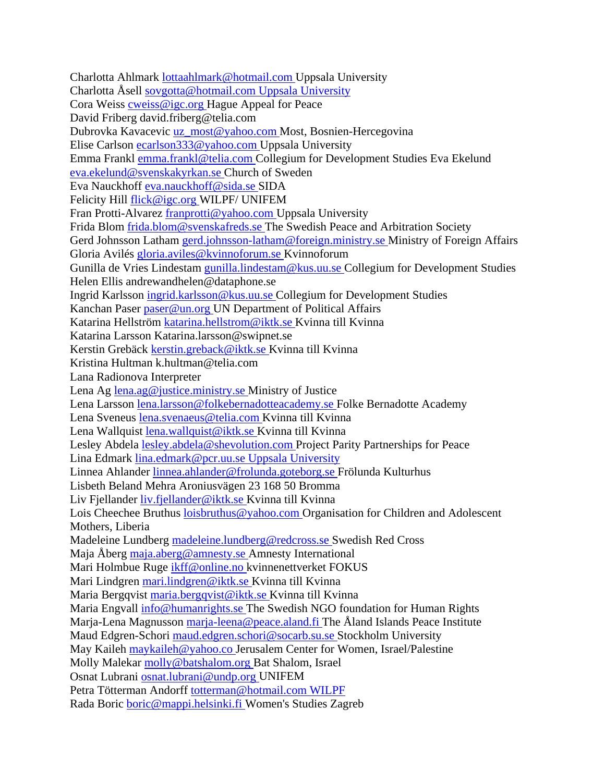Charlotta Ahlmark [lottaahlmark@hotmail.com](mailto:lottaahlmark@hotmail.com) Uppsala University Charlotta Åsell [sovgotta@hotmail.com Uppsala University](mailto:sovgotta@hotmail.com) Cora Weiss [cweiss@igc.org](mailto:cweiss@igc.org) Hague Appeal for Peace David Friberg david.friberg@telia.com Dubrovka Kavacevic [uz\\_most@yahoo.com](mailto:uz_most@yahoo.com) Most, Bosnien-Hercegovina Elise Carlson [ecarlson333@yahoo.com](mailto:ecarlson333@yahoo.com) Uppsala University Emma Frankl [emma.frankl@telia.com C](mailto:emma.frankl@telia.com)ollegium for Development Studies Eva Ekelund [eva.ekelund@svenskakyrkan.se C](mailto:eva.ekelund@svenskakyrkan.se)hurch of Sweden Eva Nauckhoff [eva.nauckhoff@sida.se S](mailto:eva.nauckhoff@sida.se)IDA Felicity Hill [flick@igc.org W](mailto:flick@igc.org)ILPF/ UNIFEM Fran Protti-Alvarez [franprotti@yahoo.com U](mailto:franprotti@yahoo.com)ppsala University Frida Blom [frida.blom@svenskafreds.se](mailto:frida.blom@svenskafreds.se) The Swedish Peace and Arbitration Society Gerd Johnsson Latham [gerd.johnsson-latham@foreign.ministry.se M](mailto:gerd.johnsson-latham@foreign.ministry.se)inistry of Foreign Affairs Gloria Avilés [gloria.aviles@kvinnoforum.se](mailto:gloria.aviles@kvinnoforum.se) Kvinnoforum Gunilla de Vries Lindestam [gunilla.lindestam@kus.uu.se C](mailto:gunilla.lindestam@kus.uu.se)ollegium for Development Studies Helen Ellis andrewandhelen@dataphone.se Ingrid Karlsson [ingrid.karlsson@kus.uu.se](mailto:ingrid.karlsson@kus.uu.se) Collegium for Development Studies Kanchan Paser [paser@un.org U](mailto:paser@un.org)N Department of Political Affairs Katarina Hellström [katarina.hellstrom@iktk.se K](mailto:katarina.hellstrom@iktk.se)vinna till Kvinna Katarina Larsson Katarina.larsson@swipnet.se Kerstin Grebäck [kerstin.greback@iktk.se](mailto:kerstin.greback@iktk.se) Kvinna till Kvinna Kristina Hultman k.hultman@telia.com Lana Radionova Interpreter Lena Ag [lena.ag@justice.ministry.se](mailto:lena.ag@justice.ministry.se) Ministry of Justice Lena Larsson [lena.larsson@folkebernadotteacademy.se F](mailto:lena.larsson@folkebernadotteacademy.se)olke Bernadotte Academy Lena Sveneus [lena.svenaeus@telia.com K](mailto:lena.svenaeus@telia.com)vinna till Kvinna Lena Wallquist [lena.wallquist@iktk.se](mailto:lena.wallquist@iktk.se) Kvinna till Kvinna Lesley Abdela [lesley.abdela@shevolution.com P](mailto:lesley.abdela@shevolution.com)roject Parity Partnerships for Peace Lina Edmark [lina.edmark@pcr.uu.se Uppsala University](mailto:lina.edmark@pcr.uu.se) Linnea Ahlander [linnea.ahlander@frolunda.goteborg.se F](mailto:linnea.ahlander@frolunda.goteborg.se)rölunda Kulturhus Lisbeth Beland Mehra Aroniusvägen 23 168 50 Bromma Liv Fjellander [liv.fjellander@iktk.se K](mailto:liv.fjellander@iktk.se)vinna till Kvinna Lois Cheechee Bruthus [loisbruthus@yahoo.com](mailto:loisbruthus@yahoo.com) Organisation for Children and Adolescent Mothers, Liberia Madeleine Lundberg [madeleine.lundberg@redcross.se](mailto:madeleine.lundberg@redcross.se) Swedish Red Cross Maja Åberg [maja.aberg@amnesty.se A](mailto:maja.aberg@amnesty.se)mnesty International Mari Holmbue Ruge [ikff@online.no k](mailto:ikff@online.no)vinnenettverket FOKUS Mari Lindgren [mari.lindgren@iktk.se K](mailto:mari.lindgren@iktk.se)vinna till Kvinna Maria Bergqvist [maria.bergqvist@iktk.se K](mailto:maria.bergqvist@iktk.se)vinna till Kvinna Maria Engvall [info@humanrights.se](mailto:info@humanrights.se) The Swedish NGO foundation for Human Rights Marja-Lena Magnusson [marja-leena@peace.aland.fi](mailto:marja-leena@peace.aland.fi) The Åland Islands Peace Institute Maud Edgren-Schori [maud.edgren.schori@socarb.su.se S](mailto:maud.edgren.schori@socarb.su.se)tockholm University May Kaileh [maykaileh@yahoo.co J](mailto:maykaileh@yahoo.co)erusalem Center for Women, Israel/Palestine Molly Malekar [molly@batshalom.org B](mailto:molly@batshalom.org)at Shalom, Israel Osnat Lubrani [osnat.lubrani@undp.org](mailto:osnat.lubrani@undp.org) UNIFEM Petra Tötterman Andorff [totterman@hotmail.com WILPF](mailto:totterman@hotmail.com) Rada Boric [boric@mappi.helsinki.fi](mailto:boric@mappi.helsinki.fi) Women's Studies Zagreb